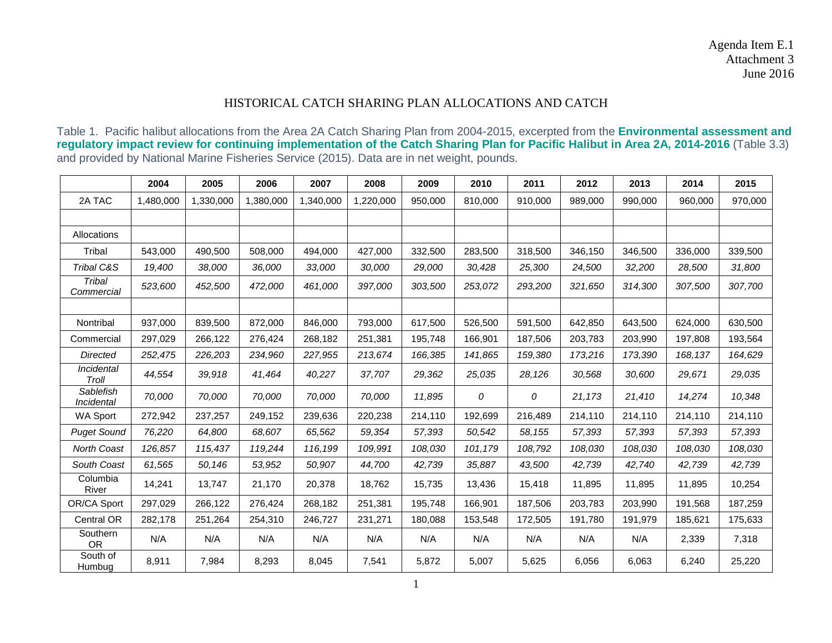## HISTORICAL CATCH SHARING PLAN ALLOCATIONS AND CATCH

Table 1. Pacific halibut allocations from the Area 2A Catch Sharing Plan from 2004-2015, excerpted from the **[Environmental assessment and](http://www.westcoast.fisheries.noaa.gov/publications/nepa/halibut/ea-halibut-2014.pdf)  [regulatory impact review for continuing implementation of the Catch Sharing Plan for Pacific Halibut in Area 2A, 2014-2016](http://www.westcoast.fisheries.noaa.gov/publications/nepa/halibut/ea-halibut-2014.pdf)** (Table 3.3) and provided by National Marine Fisheries Service (2015). Data are in net weight, pounds.

|                         | 2004      | 2005      | 2006      | 2007      | 2008      | 2009    | 2010    | 2011    | 2012    | 2013    | 2014    | 2015    |
|-------------------------|-----------|-----------|-----------|-----------|-----------|---------|---------|---------|---------|---------|---------|---------|
| 2A TAC                  | 1,480,000 | 1,330,000 | 1,380,000 | 1,340,000 | 1,220,000 | 950,000 | 810.000 | 910,000 | 989,000 | 990,000 | 960,000 | 970,000 |
|                         |           |           |           |           |           |         |         |         |         |         |         |         |
| Allocations             |           |           |           |           |           |         |         |         |         |         |         |         |
| Tribal                  | 543,000   | 490,500   | 508,000   | 494,000   | 427,000   | 332,500 | 283,500 | 318,500 | 346,150 | 346,500 | 336,000 | 339,500 |
| Tribal C&S              | 19,400    | 38,000    | 36,000    | 33,000    | 30,000    | 29,000  | 30,428  | 25,300  | 24,500  | 32,200  | 28,500  | 31,800  |
| Tribal<br>Commercial    | 523,600   | 452,500   | 472,000   | 461,000   | 397,000   | 303,500 | 253,072 | 293,200 | 321,650 | 314,300 | 307,500 | 307,700 |
|                         |           |           |           |           |           |         |         |         |         |         |         |         |
| Nontribal               | 937,000   | 839,500   | 872,000   | 846,000   | 793,000   | 617,500 | 526,500 | 591,500 | 642,850 | 643,500 | 624,000 | 630,500 |
| Commercial              | 297,029   | 266,122   | 276,424   | 268,182   | 251,381   | 195,748 | 166,901 | 187,506 | 203,783 | 203,990 | 197,808 | 193,564 |
| <b>Directed</b>         | 252,475   | 226,203   | 234,960   | 227,955   | 213,674   | 166,385 | 141,865 | 159,380 | 173,216 | 173,390 | 168,137 | 164,629 |
| Incidental<br>Troll     | 44,554    | 39,918    | 41,464    | 40,227    | 37,707    | 29,362  | 25,035  | 28,126  | 30,568  | 30,600  | 29,671  | 29,035  |
| Sablefish<br>Incidental | 70,000    | 70,000    | 70,000    | 70,000    | 70,000    | 11,895  | 0       | 0       | 21,173  | 21,410  | 14,274  | 10,348  |
| <b>WA Sport</b>         | 272,942   | 237,257   | 249,152   | 239,636   | 220,238   | 214,110 | 192,699 | 216,489 | 214,110 | 214,110 | 214,110 | 214,110 |
| <b>Puget Sound</b>      | 76,220    | 64.800    | 68.607    | 65,562    | 59,354    | 57,393  | 50.542  | 58,155  | 57,393  | 57,393  | 57.393  | 57,393  |
| North Coast             | 126,857   | 115,437   | 119,244   | 116,199   | 109,991   | 108,030 | 101,179 | 108,792 | 108,030 | 108,030 | 108,030 | 108,030 |
| South Coast             | 61,565    | 50,146    | 53,952    | 50,907    | 44,700    | 42,739  | 35,887  | 43,500  | 42,739  | 42,740  | 42.739  | 42,739  |
| Columbia<br>River       | 14,241    | 13,747    | 21,170    | 20,378    | 18,762    | 15,735  | 13,436  | 15,418  | 11,895  | 11,895  | 11,895  | 10,254  |
| OR/CA Sport             | 297,029   | 266,122   | 276,424   | 268,182   | 251,381   | 195,748 | 166,901 | 187,506 | 203,783 | 203,990 | 191,568 | 187,259 |
| <b>Central OR</b>       | 282,178   | 251,264   | 254,310   | 246,727   | 231,271   | 180,088 | 153,548 | 172,505 | 191,780 | 191,979 | 185,621 | 175,633 |
| Southern<br><b>OR</b>   | N/A       | N/A       | N/A       | N/A       | N/A       | N/A     | N/A     | N/A     | N/A     | N/A     | 2,339   | 7,318   |
| South of<br>Humbug      | 8,911     | 7,984     | 8,293     | 8,045     | 7,541     | 5,872   | 5,007   | 5,625   | 6,056   | 6,063   | 6,240   | 25,220  |